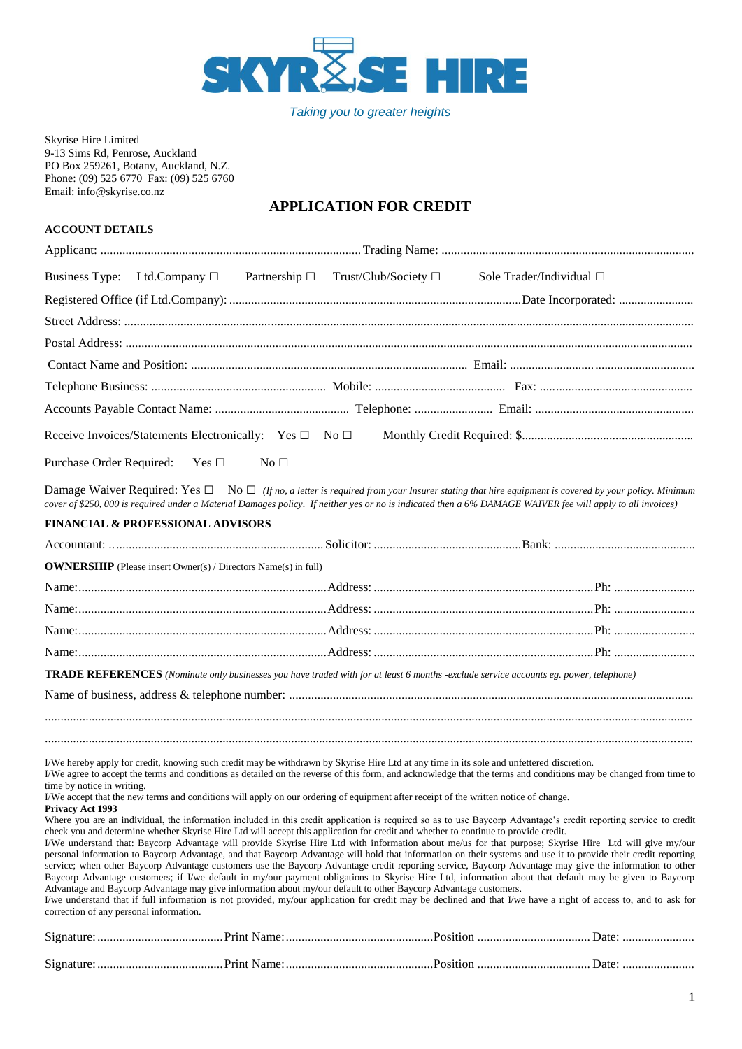

*Taking you to greater heights*

#### Skyrise Hire Limited 9-13 Sims Rd, Penrose, Auckland PO Box 259261, Botany, Auckland, N.Z. Phone: (09) 525 6770 Fax: (09) 525 6760 Email: info@skyrise.co.nz

## **APPLICATION FOR CREDIT**

## **ACCOUNT DETAILS**

|                          | Business Type: Ltd.Company $\Box$ Partnership $\Box$ Trust/Club/Society $\Box$ |                 |  | Sole Trader/Individual □                                                                                                                                                                                                                                                                                                      |  |  |
|--------------------------|--------------------------------------------------------------------------------|-----------------|--|-------------------------------------------------------------------------------------------------------------------------------------------------------------------------------------------------------------------------------------------------------------------------------------------------------------------------------|--|--|
|                          |                                                                                |                 |  |                                                                                                                                                                                                                                                                                                                               |  |  |
|                          |                                                                                |                 |  |                                                                                                                                                                                                                                                                                                                               |  |  |
|                          |                                                                                |                 |  |                                                                                                                                                                                                                                                                                                                               |  |  |
|                          |                                                                                |                 |  |                                                                                                                                                                                                                                                                                                                               |  |  |
|                          |                                                                                |                 |  |                                                                                                                                                                                                                                                                                                                               |  |  |
|                          |                                                                                |                 |  |                                                                                                                                                                                                                                                                                                                               |  |  |
|                          | Receive Invoices/Statements Electronically: Yes □ No □                         |                 |  |                                                                                                                                                                                                                                                                                                                               |  |  |
| Purchase Order Required: | $Yes \Box$                                                                     | No <sub>1</sub> |  |                                                                                                                                                                                                                                                                                                                               |  |  |
|                          |                                                                                |                 |  | Damage Waiver Required: Yes $\square$ No $\square$ (If no, a letter is required from your Insurer stating that hire equipment is covered by your policy. Minimum<br>cover of \$250,000 is required under a Material Damages policy. If neither yes or no is indicated then a 6% DAMAGE WAIVER fee will apply to all invoices) |  |  |
|                          | <b>FINANCIAL &amp; PROFESSIONAL ADVISORS</b>                                   |                 |  |                                                                                                                                                                                                                                                                                                                               |  |  |
|                          |                                                                                |                 |  |                                                                                                                                                                                                                                                                                                                               |  |  |
|                          | <b>OWNERSHIP</b> (Please insert Owner(s) / Directors Name(s) in full)          |                 |  |                                                                                                                                                                                                                                                                                                                               |  |  |
|                          |                                                                                |                 |  |                                                                                                                                                                                                                                                                                                                               |  |  |
|                          |                                                                                |                 |  |                                                                                                                                                                                                                                                                                                                               |  |  |
|                          |                                                                                |                 |  |                                                                                                                                                                                                                                                                                                                               |  |  |
|                          |                                                                                |                 |  |                                                                                                                                                                                                                                                                                                                               |  |  |
|                          |                                                                                |                 |  | <b>TRADE REFERENCES</b> (Nominate only businesses you have traded with for at least 6 months -exclude service accounts eg. power, telephone)                                                                                                                                                                                  |  |  |
|                          |                                                                                |                 |  |                                                                                                                                                                                                                                                                                                                               |  |  |
|                          |                                                                                |                 |  |                                                                                                                                                                                                                                                                                                                               |  |  |
|                          |                                                                                |                 |  |                                                                                                                                                                                                                                                                                                                               |  |  |

I/We hereby apply for credit, knowing such credit may be withdrawn by Skyrise Hire Ltd at any time in its sole and unfettered discretion.

I/We agree to accept the terms and conditions as detailed on the reverse of this form, and acknowledge that the terms and conditions may be changed from time to time by notice in writing.

I/We accept that the new terms and conditions will apply on our ordering of equipment after receipt of the written notice of change.

**Privacy Act 1993** 

Where you are an individual, the information included in this credit application is required so as to use Baycorp Advantage's credit reporting service to credit check you and determine whether Skyrise Hire Ltd will accept this application for credit and whether to continue to provide credit.

I/we understand that if full information is not provided, my/our application for credit may be declined and that I/we have a right of access to, and to ask for correction of any personal information.

| Signature:                                   |                                                          |         |
|----------------------------------------------|----------------------------------------------------------|---------|
|                                              |                                                          |         |
| Signature:<br><b>Example 2.1 Print Name:</b> | $P$ osition $\ldots$ $\ldots$ $\ldots$ $\ldots$ $\ldots$ | . Date: |
|                                              |                                                          |         |

I/We understand that: Baycorp Advantage will provide Skyrise Hire Ltd with information about me/us for that purpose; Skyrise Hire Ltd will give my/our personal information to Baycorp Advantage, and that Baycorp Advantage will hold that information on their systems and use it to provide their credit reporting service; when other Baycorp Advantage customers use the Baycorp Advantage credit reporting service, Baycorp Advantage may give the information to other Baycorp Advantage customers; if I/we default in my/our payment obligations to Skyrise Hire Ltd, information about that default may be given to Baycorp Advantage and Baycorp Advantage may give information about my/our default to other Baycorp Advantage customers.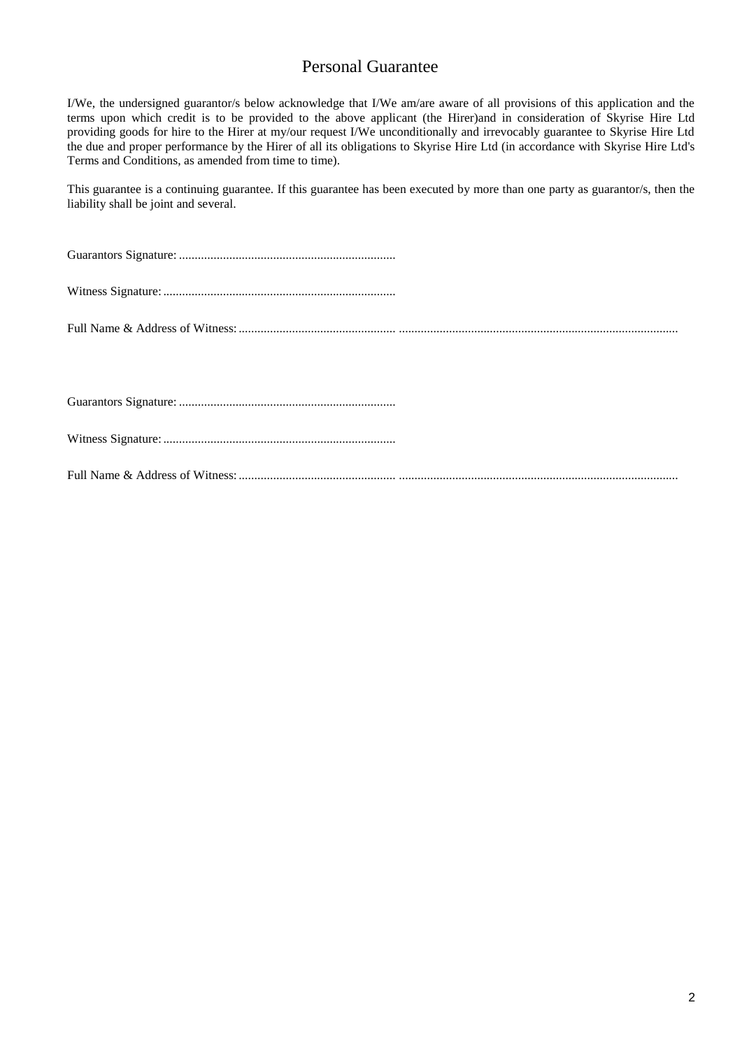# Personal Guarantee

I/We, the undersigned guarantor/s below acknowledge that I/We am/are aware of all provisions of this application and the terms upon which credit is to be provided to the above applicant (the Hirer)and in consideration of Skyrise Hire Ltd providing goods for hire to the Hirer at my/our request I/We unconditionally and irrevocably guarantee to Skyrise Hire Ltd the due and proper performance by the Hirer of all its obligations to Skyrise Hire Ltd (in accordance with Skyrise Hire Ltd's Terms and Conditions, as amended from time to time).

This guarantee is a continuing guarantee. If this guarantee has been executed by more than one party as guarantor/s, then the liability shall be joint and several.

Guarantors Signature: .....................................................................

Witness Signature: ..........................................................................

Full Name & Address of Witness:.................................................. .........................................................................................

Guarantors Signature: .....................................................................

Witness Signature: ..........................................................................

Full Name & Address of Witness:.................................................. .........................................................................................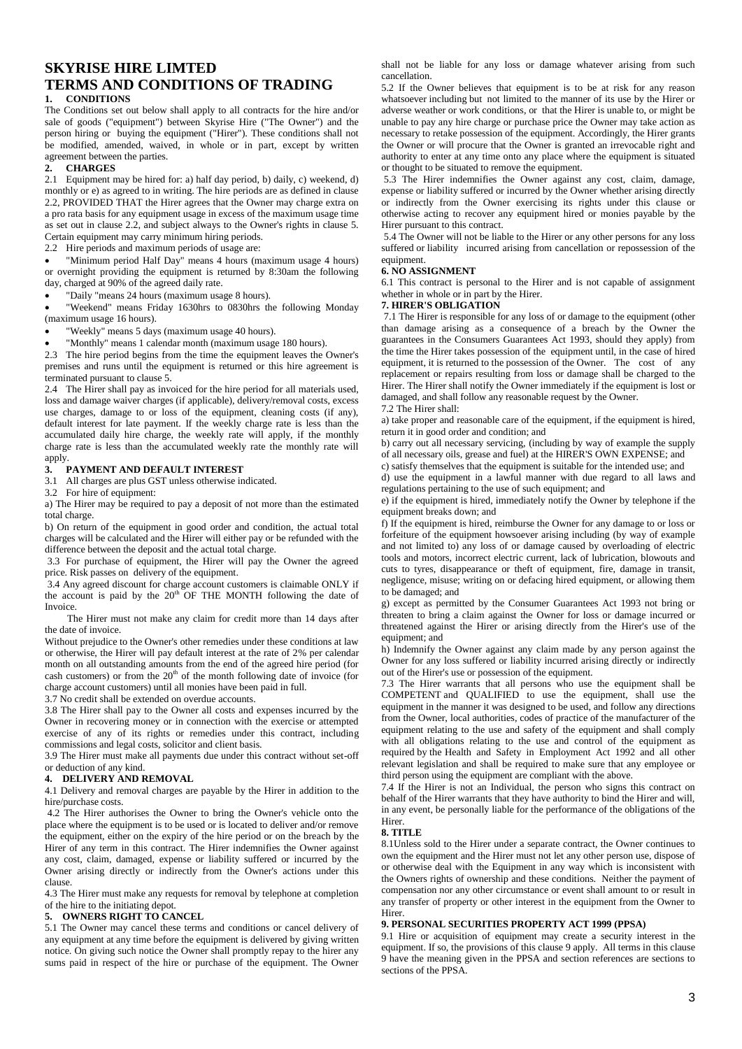## **SKYRISE HIRE LIMTED TERMS AND CONDITIONS OF TRADING 1. CONDITIONS**

The Conditions set out below shall apply to all contracts for the hire and/or sale of goods ("equipment") between Skyrise Hire ("The Owner") and the person hiring or buying the equipment ("Hirer"). These conditions shall not be modified, amended, waived, in whole or in part, except by written agreement between the parties.

#### **2. CHARGES**

2.1 Equipment may be hired for: a) half day period, b) daily, c) weekend, d) monthly or e) as agreed to in writing. The hire periods are as defined in clause 2.2, PROVIDED THAT the Hirer agrees that the Owner may charge extra on a pro rata basis for any equipment usage in excess of the maximum usage time as set out in clause 2.2, and subject always to the Owner's rights in clause 5. Certain equipment may carry minimum hiring periods.

2.2 Hire periods and maximum periods of usage are:

 "Minimum period Half Day" means 4 hours (maximum usage 4 hours) or overnight providing the equipment is returned by 8:30am the following day, charged at 90% of the agreed daily rate.

"Daily "means 24 hours (maximum usage 8 hours).

 "Weekend" means Friday 1630hrs to 0830hrs the following Monday (maximum usage 16 hours).

"Weekly" means 5 days (maximum usage 40 hours).

"Monthly" means 1 calendar month (maximum usage 180 hours).

2.3 The hire period begins from the time the equipment leaves the Owner's premises and runs until the equipment is returned or this hire agreement is terminated pursuant to clause 5.

2.4 The Hirer shall pay as invoiced for the hire period for all materials used, loss and damage waiver charges (if applicable), delivery/removal costs, excess use charges, damage to or loss of the equipment, cleaning costs (if any), default interest for late payment. If the weekly charge rate is less than the accumulated daily hire charge, the weekly rate will apply, if the monthly charge rate is less than the accumulated weekly rate the monthly rate will apply.

#### **3. PAYMENT AND DEFAULT INTEREST**

3.1 All charges are plus GST unless otherwise indicated.

3.2 For hire of equipment:

a) The Hirer may be required to pay a deposit of not more than the estimated total charge.

b) On return of the equipment in good order and condition, the actual total charges will be calculated and the Hirer will either pay or be refunded with the difference between the deposit and the actual total charge.

3.3 For purchase of equipment, the Hirer will pay the Owner the agreed price. Risk passes on delivery of the equipment.

3.4 Any agreed discount for charge account customers is claimable ONLY if the account is paid by the  $20<sup>th</sup>$  OF THE MONTH following the date of Invoice.

The Hirer must not make any claim for credit more than 14 days after the date of invoice.

Without prejudice to the Owner's other remedies under these conditions at law or otherwise, the Hirer will pay default interest at the rate of 2% per calendar month on all outstanding amounts from the end of the agreed hire period (for cash customers) or from the  $20<sup>th</sup>$  of the month following date of invoice (for charge account customers) until all monies have been paid in full.

3.7 No credit shall be extended on overdue accounts.

3.8 The Hirer shall pay to the Owner all costs and expenses incurred by the Owner in recovering money or in connection with the exercise or attempted exercise of any of its rights or remedies under this contract, including commissions and legal costs, solicitor and client basis.

3.9 The Hirer must make all payments due under this contract without set-off or deduction of any kind.

#### **4. DELIVERY AND REMOVAL**

4.1 Delivery and removal charges are payable by the Hirer in addition to the hire/purchase costs.

4.2 The Hirer authorises the Owner to bring the Owner's vehicle onto the place where the equipment is to be used or is located to deliver and/or remove the equipment, either on the expiry of the hire period or on the breach by the Hirer of any term in this contract. The Hirer indemnifies the Owner against any cost, claim, damaged, expense or liability suffered or incurred by the Owner arising directly or indirectly from the Owner's actions under this clause.

4.3 The Hirer must make any requests for removal by telephone at completion of the hire to the initiating depot.

#### **5. OWNERS RIGHT TO CANCEL**

5.1 The Owner may cancel these terms and conditions or cancel delivery of any equipment at any time before the equipment is delivered by giving written notice. On giving such notice the Owner shall promptly repay to the hirer any sums paid in respect of the hire or purchase of the equipment. The Owner

shall not be liable for any loss or damage whatever arising from such cancellation.

5.2 If the Owner believes that equipment is to be at risk for any reason whatsoever including but not limited to the manner of its use by the Hirer or adverse weather or work conditions, or that the Hirer is unable to, or might be unable to pay any hire charge or purchase price the Owner may take action as necessary to retake possession of the equipment. Accordingly, the Hirer grants the Owner or will procure that the Owner is granted an irrevocable right and authority to enter at any time onto any place where the equipment is situated or thought to be situated to remove the equipment.

5.3 The Hirer indemnifies the Owner against any cost, claim, damage, expense or liability suffered or incurred by the Owner whether arising directly or indirectly from the Owner exercising its rights under this clause or otherwise acting to recover any equipment hired or monies payable by the Hirer pursuant to this contract.

5.4 The Owner will not be liable to the Hirer or any other persons for any loss suffered or liability incurred arising from cancellation or repossession of the equipment.

#### **6. NO ASSIGNMENT**

6.1 This contract is personal to the Hirer and is not capable of assignment whether in whole or in part by the Hirer.

#### **7. HIRER'S OBLIGATION**

7.1 The Hirer is responsible for any loss of or damage to the equipment (other than damage arising as a consequence of a breach by the Owner the guarantees in the Consumers Guarantees Act 1993, should they apply) from the time the Hirer takes possession of the equipment until, in the case of hired equipment, it is returned to the possession of the Owner. The cost of any replacement or repairs resulting from loss or damage shall be charged to the Hirer. The Hirer shall notify the Owner immediately if the equipment is lost or damaged, and shall follow any reasonable request by the Owner. 7.2 The Hirer shall:

a) take proper and reasonable care of the equipment, if the equipment is hired, return it in good order and condition; and

b) carry out all necessary servicing, (including by way of example the supply of all necessary oils, grease and fuel) at the HIRER'S OWN EXPENSE; and

c) satisfy themselves that the equipment is suitable for the intended use; and

d) use the equipment in a lawful manner with due regard to all laws and regulations pertaining to the use of such equipment; and

e) if the equipment is hired, immediately notify the Owner by telephone if the equipment breaks down; and

f) If the equipment is hired, reimburse the Owner for any damage to or loss or forfeiture of the equipment howsoever arising including (by way of example and not limited to) any loss of or damage caused by overloading of electric tools and motors, incorrect electric current, lack of lubrication, blowouts and cuts to tyres, disappearance or theft of equipment, fire, damage in transit, negligence, misuse; writing on or defacing hired equipment, or allowing them to be damaged; and

g) except as permitted by the Consumer Guarantees Act 1993 not bring or threaten to bring a claim against the Owner for loss or damage incurred or threatened against the Hirer or arising directly from the Hirer's use of the equinment; and

h) Indemnify the Owner against any claim made by any person against the Owner for any loss suffered or liability incurred arising directly or indirectly out of the Hirer's use or possession of the equipment.

7.3 The Hirer warrants that all persons who use the equipment shall be COMPETENT and QUALIFIED to use the equipment, shall use the equipment in the manner it was designed to be used, and follow any directions from the Owner, local authorities, codes of practice of the manufacturer of the equipment relating to the use and safety of the equipment and shall comply with all obligations relating to the use and control of the equipment as required by the Health and Safety in Employment Act 1992 and all other relevant legislation and shall be required to make sure that any employee or third person using the equipment are compliant with the above.

7.4 If the Hirer is not an Individual, the person who signs this contract on behalf of the Hirer warrants that they have authority to bind the Hirer and will, in any event, be personally liable for the performance of the obligations of the Hirer.

#### **8. TITLE**

8.1Unless sold to the Hirer under a separate contract, the Owner continues to own the equipment and the Hirer must not let any other person use, dispose of or otherwise deal with the Equipment in any way which is inconsistent with the Owners rights of ownership and these conditions. Neither the payment of compensation nor any other circumstance or event shall amount to or result in any transfer of property or other interest in the equipment from the Owner to **Hirer** 

#### **9. PERSONAL SECURITIES PROPERTY ACT 1999 (PPSA)**

9.1 Hire or acquisition of equipment may create a security interest in the equipment. If so, the provisions of this clause 9 apply. All terms in this clause 9 have the meaning given in the PPSA and section references are sections to sections of the PPSA.